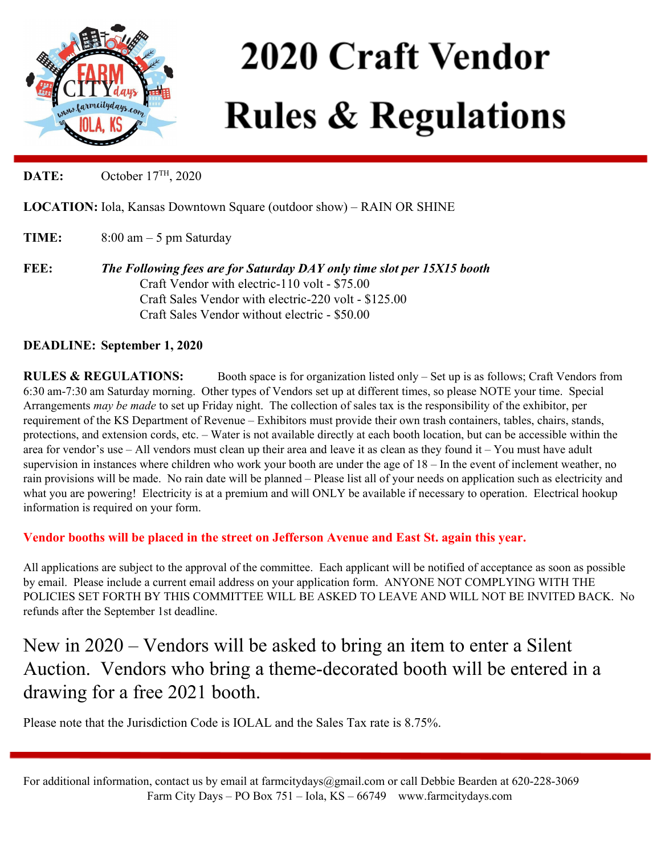

# **2020 Craft Vendor Rules & Regulations**

**DATE:** October 17<sup>TH</sup>, 2020

**LOCATION:** Iola, Kansas Downtown Square (outdoor show) – RAIN OR SHINE

**TIME:** 8:00 am – 5 pm Saturday

**FEE:** *The Following fees are for Saturday DAY only time slot per 15X15 booth* Craft Vendor with electric-110 volt - \$75.00 Craft Sales Vendor with electric-220 volt - \$125.00 Craft Sales Vendor without electric - \$50.00

## **DEADLINE: September 1, 2020**

**RULES & REGULATIONS:** Booth space is for organization listed only – Set up is as follows; Craft Vendors from 6:30 am-7:30 am Saturday morning. Other types of Vendors set up at different times, so please NOTE your time. Special Arrangements *may be made* to set up Friday night. The collection of sales tax is the responsibility of the exhibitor, per requirement of the KS Department of Revenue – Exhibitors must provide their own trash containers, tables, chairs, stands, protections, and extension cords, etc. – Water is not available directly at each booth location, but can be accessible within the area for vendor's use – All vendors must clean up their area and leave it as clean as they found it – You must have adult supervision in instances where children who work your booth are under the age of 18 – In the event of inclement weather, no rain provisions will be made. No rain date will be planned – Please list all of your needs on application such as electricity and what you are powering! Electricity is at a premium and will ONLY be available if necessary to operation. Electrical hookup information is required on your form.

### **Vendor booths will be placed in the street on Jefferson Avenue and East St. again this year.**

All applications are subject to the approval of the committee. Each applicant will be notified of acceptance as soon as possible by email. Please include a current email address on your application form. ANYONE NOT COMPLYING WITH THE POLICIES SET FORTH BY THIS COMMITTEE WILL BE ASKED TO LEAVE AND WILL NOT BE INVITED BACK. No refunds after the September 1st deadline.

## New in 2020 – Vendors will be asked to bring an item to enter a Silent Auction. Vendors who bring a theme-decorated booth will be entered in a drawing for a free 2021 booth.

Please note that the Jurisdiction Code is IOLAL and the Sales Tax rate is 8.75%.